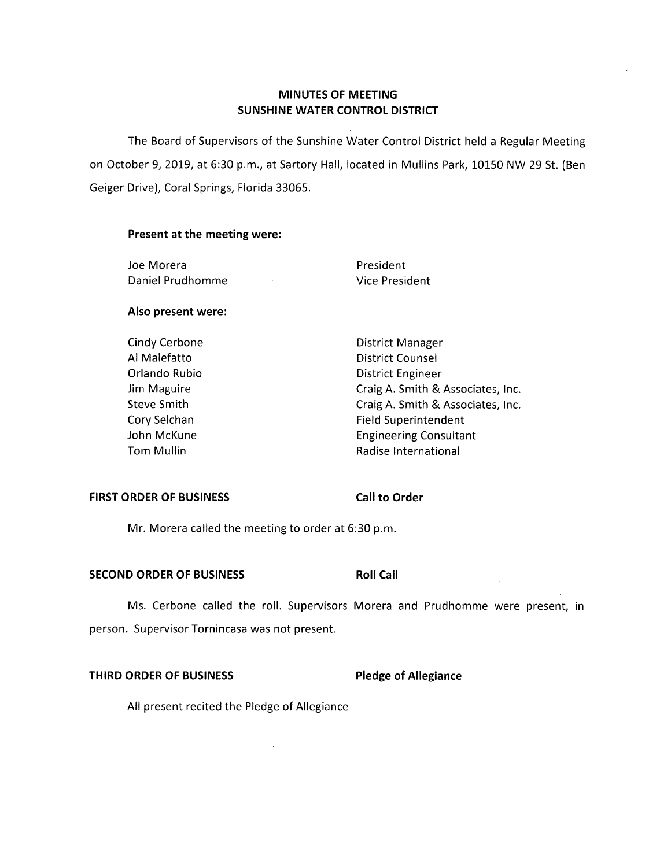# **MINUTES OF MEETING SUNSHINE WATER CONTROL DISTRICT**

The Board of Supervisors of the Sunshine Water Control District held a Regular Meeting on October 9, 2019, at 6:30 p.m., at Sartory Hall, located in Mullins Park, 10150 NW 29 St. (Ben Geiger Drive), Coral Springs, Florida 33065.

### **Present at the meeting were:**

Joe Morera **President** Daniel Prudhomme Vice President

#### **Also present were:**

Cindy Cerbone **District Manager** 

Al Malefatto **District Counsel** Orlando Rubio **District Engineer** Jim Maguire Craig A. Smith & Associates, Inc. Steve Smith Craig A. Smith & Associates, Inc. Cory Selchan Field Superintendent John McKune **Engineering Consultant** Tom Mullin **Tom Mullin Radise International** 

#### **FIRST ORDER OF BUSINESS** Call to Order

Mr. Morera called the meeting to order at 6:30 p.m.

#### **SECOND ORDER OF BUSINESS Roll Call**

Ms. Cerbone called the roll. Supervisors Morera and Prudhomme were present, in person. Supervisor Tornincasa was not present.

# **THIRD ORDER OF BUSINESS Pledge of Allegiance**

All present recited the Pledge of Allegiance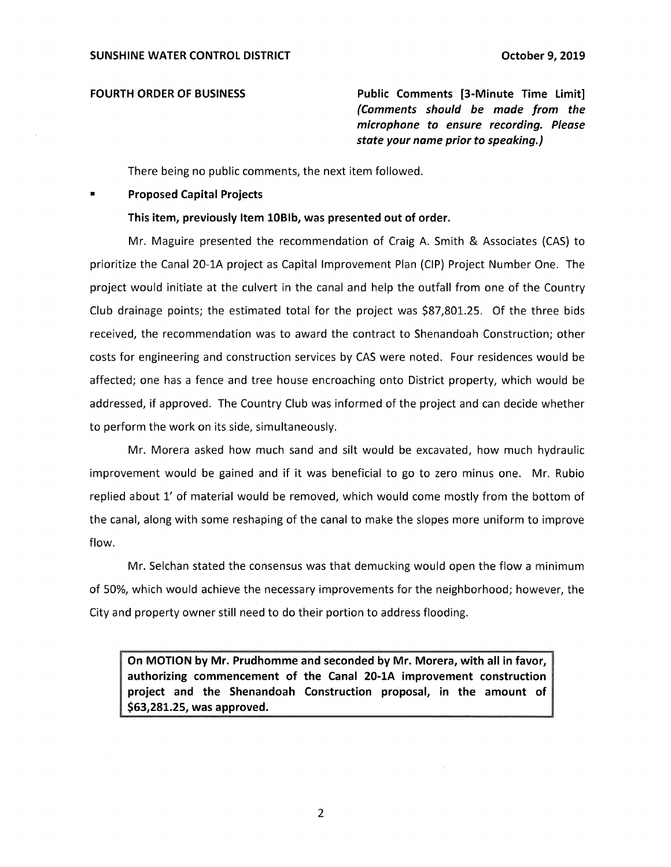**FOURTH ORDER OF BUSINESS Public Comments [3-Minute Time limit]**  *(Comments should be made from the microphone to ensure recording. Please state your name prior to speaking.)* 

There being no public comments, the next item followed.

#### **Proposed Capital Projects**

#### **This item, previously Item l0Blb, was presented out of order.**

Mr. Maguire presented the recommendation of Craig A. Smith & Associates (CAS) to prioritize the Canal 20-lA project as Capital Improvement Plan (CIP) Project Number One. The project would initiate at the culvert in the canal and help the outfall from one of the Country Club drainage points; the estimated total for the project was \$[87,801.25.](https://87,801.25) Of the three bids received, the recommendation was to award the contract to Shenandoah Construction; other costs for engineering and construction services by CAS were noted. Four residences would be affected; one has a fence and tree house encroaching onto District property, which would be addressed, if approved. The Country Club was informed of the project and can decide whether to perform the work on its side, simultaneously.

Mr. Morera asked how much sand and silt would be excavated, how much hydraulic improvement would be gained and if it was beneficial to go to zero minus one. Mr. Rubio replied about 1' of material would be removed, which would come mostly from the bottom of the canal, along with some reshaping of the canal to make the slopes more uniform to improve flow.

Mr. Selchan stated the consensus was that demucking would open the flow a minimum of 50%, which would achieve the necessary improvements for the neighborhood; however, the City and property owner still need to do their portion to address flooding.

**On MOTION by Mr. Prudhomme and seconded by Mr. Morera, with all in favor, authorizing commencement of the Canal 20-lA improvement construction project and the Shenandoah Construction proposal, in the amount of \$[63,281.25](https://63,281.25), was approved.**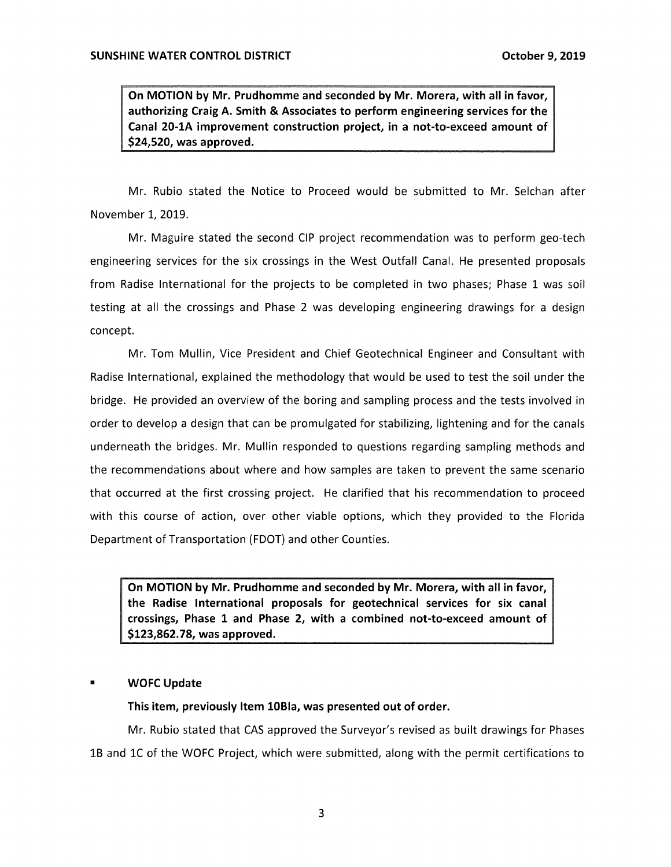**On MOTION by Mr. Prudhomme and seconded by Mr. Morera, with all in favor, authorizing Craig A. Smith & Associates to perform engineering services for the Canal 20-lA improvement construction project, in a not-to-exceed amount of \$24,520, was approved.** 

Mr. Rubio stated the Notice to Proceed would be submitted to Mr. Selchan after November 1, 2019.

Mr. Maguire stated the second CIP project recommendation was to perform geo-tech engineering services for the six crossings in the West Outfall Canal. He presented proposals from Radise International for the projects to be completed in two phases; Phase 1 was soil testing at all the crossings and Phase 2 was developing engineering drawings for a design concept.

Mr. Tom Mullin, Vice President and Chief Geotechnical Engineer and Consultant with Radise International, explained the methodology that would be used to test the soil under the bridge. He provided an overview of the boring and sampling process and the tests involved in order to develop a design that can be promulgated for stabilizing, lightening and for the canals underneath the bridges. Mr. Mullin responded to questions regarding sampling methods and the recommendations about where and how samples are taken to prevent the same scenario that occurred at the first crossing project. He clarified that his recommendation to proceed with this course of action, over other viable options, which they provided to the Florida Department of Transportation (FDOT} and other Counties.

**On MOTION by Mr. Prudhomme and seconded by Mr. Morera, with all in favor, the Radise International proposals for geotechnical services for six canal crossings, Phase 1 and Phase 2, with a combined not-to-exceed amount of [\\$123,862.78](https://123,862.78), was approved.** 

#### • **WOFC Update**

**This item, previously Item l0Bla, was presented out of order.** 

Mr. Rubio stated that CAS approved the Surveyor's revised as built drawings for Phases 1B and lC of the WOFC Project, which were submitted, along with the permit certifications to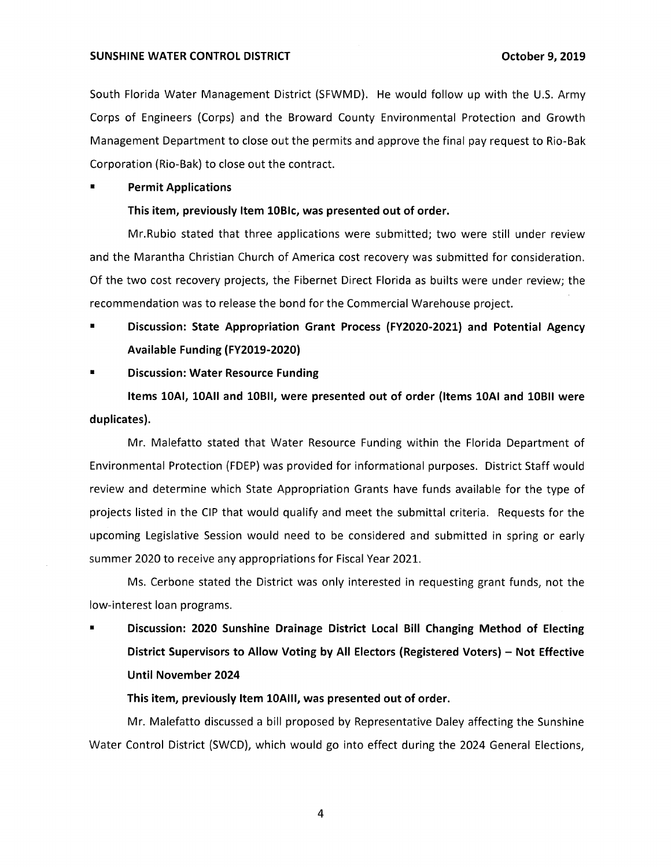#### **SUNSHINE WATER CONTROL DISTRICT October 9, 2019**

South Florida Water Management District (SFWMD). He would follow up with the U.S. Army Corps of Engineers (Corps) and the Broward County Environmental Protection and Growth Management Department to close out the permits and approve the final pay request to Rio-Bak Corporation (Rio-Bak) to close out the contract.

#### **Permit Applications**

#### **This item, previously Item 108Ic, was presented out of order.**

Mr.Rubio stated that three applications were submitted; two were still under review and the Marantha Christian Church of America cost recovery was submitted for consideration. Of the two cost recovery projects, the Fibernet Direct Florida as builts were under review; the recommendation was to release the bond for the Commercial Warehouse project.

■ **Discussion: State Appropriation Grant Process (FY2020-2021) and Potential Agency Available Funding (FY2019-2020)** 

#### ■ **Discussion: Water Resource Funding**

**Items l0AI, l0AII and 10811, were presented out of order (Items lOAI and 10811 were duplicates).** 

Mr. Malefatto stated that Water Resource Funding within the Florida Department of Environmental Protection (FDEP) was provided for informational purposes. District Staff would review and determine which State Appropriation Grants have funds available for the type of projects listed in the CIP that would qualify and meet the submittal criteria. Requests for the upcoming Legislative Session would need to be considered and submitted in spring or early summer 2020 to receive any appropriations for Fiscal Year 2021.

Ms. Cerbone stated the District was only interested in requesting grant funds, not the low-interest loan programs.

**Discussion: 2020 Sunshine Drainage District Local Bill Changing Method of Electing District Supervisors to Allow Voting by All Electors (Registered Voters) - Not Effective Until November 2024** 

### **This item, previously Item lOAIII, was presented out of order.**

Mr. Malefatto discussed a bill proposed by Representative Daley affecting the Sunshine Water Control District (SWCD), which would go into effect during the 2024 General Elections,

4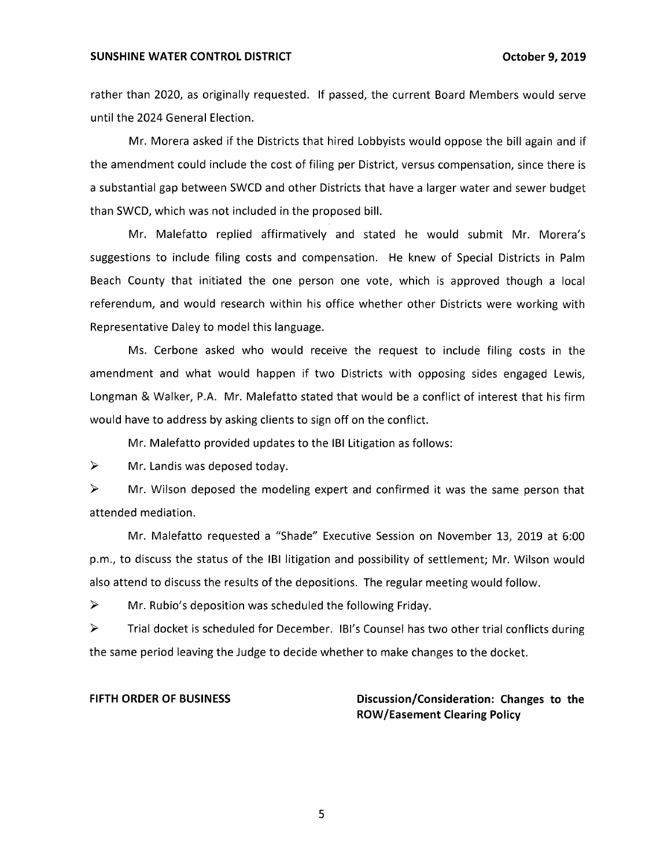#### **SUNSHINE WATER CONTROL DISTRICT CONTROL CONTROL DISTRICT CONTROL CONTROL**

rather than 2020, as originally requested. If passed, the current Board Members would serve until the 2024 General Election.

Mr. Morera asked if the Districts that hired Lobbyists would oppose the bill again and if the amendment could include the cost of filing per District, versus compensation, since there is a substantial gap between SWCD and other Districts that have a larger water and sewer budget than SWCD, which was not included in the proposed bill.

Mr. Malefatto replied affirmatively and stated he would submit Mr. Morera's suggestions to include filing costs and compensation. He knew of Special Districts in Palm Beach County that initiated the one person one vote, which is approved though a local referendum, and would research within his office whether other Districts were working with Representative Daley to model this language.

Ms. Cerbone asked who would receive the request to include filing costs in the amendment and what would happen if two Districts with opposing sides engaged Lewis, Longman & Walker, P.A. Mr. Malefatto stated that would be a conflict of interest that his firm would have to address by asking clients to sign off on the conflict.

Mr. Malefatto provided updates to the IBI Litigation as follows:

 $\triangleright$  Mr. Landis was deposed today.

 $\triangleright$  Mr. Wilson deposed the modeling expert and confirmed it was the same person that attended mediation.

Mr. Malefatto requested a "Shade" Executive Session on November 13, 2019 at 6:00 p.m., to discuss the status of the IBI litigation and possibility of settlement; Mr. Wilson would also attend to discuss the results of the depositions. The regular meeting would follow.

 $\triangleright$  Mr. Rubio's deposition was scheduled the following Friday.

► Trial docket is scheduled for December. !Bi's Counsel has two other trial conflicts during the same period leaving the Judge to decide whether to make changes to the docket.

FIFTH ORDER OF BUSINESS **Discussion/Consideration: Changes to the ROW/Easement Clearing Policy** 

5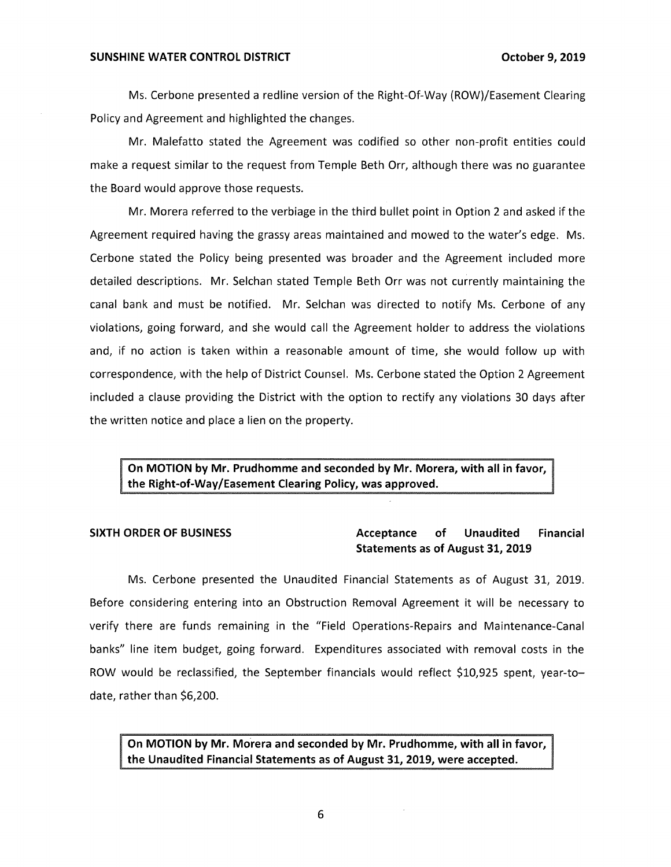Ms. Cerbone presented a redline version of the Right-Of-Way (ROW)/Easement Clearing Policy and Agreement and highlighted the changes.

Mr. Malefatto stated the Agreement was codified so other non-profit entities could make a request similar to the request from Temple Beth Orr, although there was no guarantee the Board would approve those requests.

Mr. Morera referred to the verbiage in the third bullet point in Option 2 and asked if the Agreement required having the grassy areas maintained and mowed to the water's edge. Ms. Cerbone stated the Policy being presented was broader and the Agreement included more detailed descriptions. Mr. Selchan stated Temple Beth Orr was not currently maintaining the canal bank and must be notified. Mr. Selchan was directed to notify Ms. Cerbone of any violations, going forward, and she would call the Agreement holder to address the violations and, if no action is taken within a reasonable amount of time, she would follow up with correspondence, with the help of District Counsel. Ms. Cerbone stated the Option 2 Agreement included a clause providing the District with the option to rectify any violations 30 days after the written notice and place a lien on the property.

**On MOTION by Mr. Prudhomme and seconded by Mr. Morera, with all in favor, the Right-of-Way/Easement Clearing Policy, was approved.** 

# **SIXTH ORDER OF BUSINESS Acceptance of Unaudited Financial Statements as of August 31, 2019**

Ms. Cerbone presented the Unaudited Financial Statements as of August 31, 2019. Before considering entering into an Obstruction Removal Agreement it will be necessary to verify there are funds remaining in the "Field Operations-Repairs and Maintenance-Canal banks" line item budget, going forward. Expenditures associated with removal costs in the ROW would be reclassified, the September financials would reflect \$10,925 spent, year-todate, rather than \$6,200.

**On MOTION by Mr. Morera and seconded by Mr. Prudhomme, with all in favor, the Unaudited Financial Statements as of August 31, 2019, were accepted.**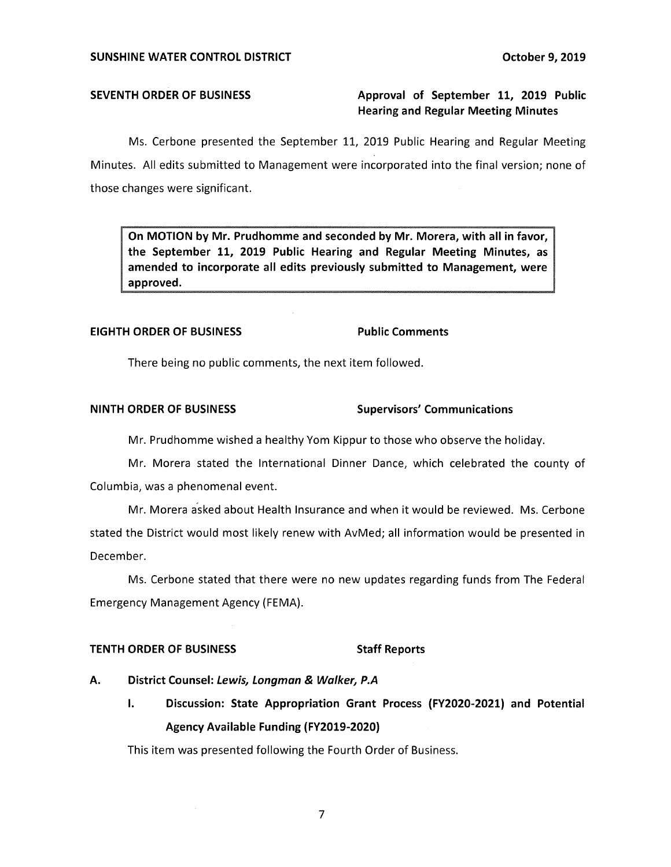# **SEVENTH ORDER OF BUSINESS** Approval of September 11, 2019 Public **Hearing and Regular Meeting Minutes**

Ms. Cerbone presented the September 11, 2019 Public Hearing and Regular Meeting Minutes. All edits submitted to Management were incorporated into the final version; none of those changes were significant.

**On MOTION by Mr. Prudhomme and seconded by Mr. Morera, with all in favor, the September 11, 2019 Public Hearing and Regular Meeting Minutes, as amended to incorporate all edits previously submitted to Management, were approved.** 

### **EIGHTH ORDER OF BUSINESS Public Comments**

There being no public comments, the next item followed.

### **NINTH ORDER OF BUSINESS SUPERISTIC SUPERVISORS' Communications**

Mr. Prudhomme wished a healthy Yorn Kippur to those who observe the holiday.

Mr. Morera stated the International Dinner Dance, which celebrated the county of Columbia, was a phenomenal event.

Mr. Morera asked about Health Insurance and when it would be reviewed. Ms. Cerbone stated the District would most likely renew with AvMed; all information would be presented in December.

Ms. Cerbone stated that there were no new updates regarding funds from The Federal Emergency Management Agency (FEMA).

# **TENTH ORDER OF BUSINESS** Staff Reports

- **A.** District Counsel: Lewis, Longman & Walker, P.A
	- I. **Discussion: State Appropriation Grant Process (FY2020-2021) and Potential Agency Available Funding (FY2019-2020)**

This item was presented following the Fourth Order of Business.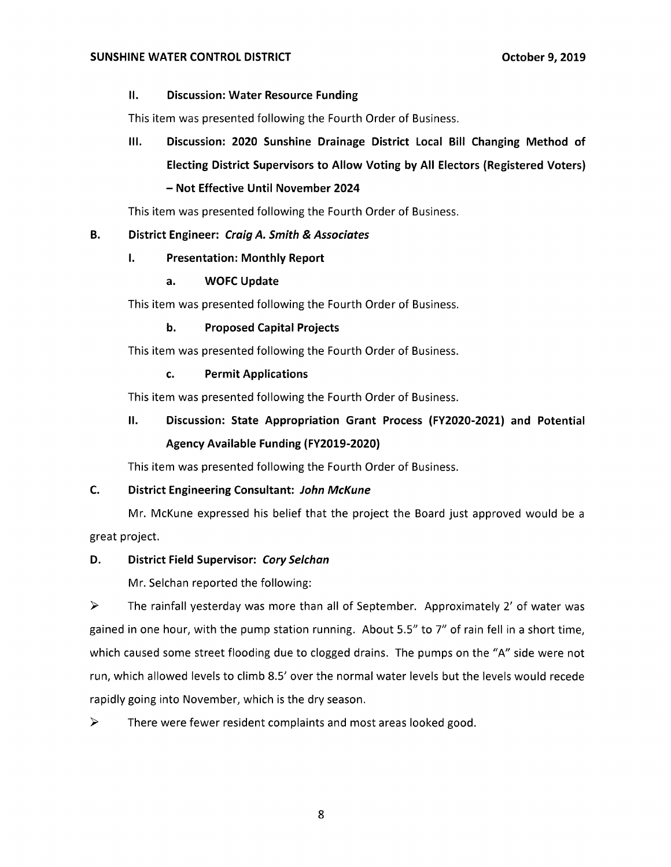# II. **Discussion: Water Resource Funding**

This item was presented following the Fourth Order of Business.

**Ill. Discussion: 2020 Sunshine Drainage District Local Bill Changing Method of Electing District Supervisors to Allow Voting by All Electors (Registered Voters)**  - **Not Effective Until November 2024** 

This item was presented following the Fourth Order of Business.

# **B. District Engineer: Craig A. Smith & Associates**

# I. **Presentation: Monthly Report**

# **a. WOFC Update**

This item was presented following the Fourth Order of Business.

# **b. Proposed Capital Projects**

This item was presented following the Fourth Order of Business.

# **c. Permit Applications**

This item was presented following the Fourth Order of Business.

# II. **Discussion: State Appropriation Grant Process (FY2020-2021) and Potential Agency Available Funding (FY2019-2020)**

This item was presented following the Fourth Order of Business.

# **C. District Engineering Consultant: John McKune**

Mr. McKune expressed his belief that the project the Board just approved would be a great project.

# **D. District Field Supervisor: Cory Selchan**

Mr. Selchan reported the following:

 $\triangleright$  The rainfall yesterday was more than all of September. Approximately 2' of water was gained in one hour, with the pump station running. About 5.5" to 7" of rain fell in a short time, which caused some street flooding due to clogged drains. The pumps on the "A" side were not run, which allowed levels to climb 8.5' over the normal water levels but the levels would recede rapidly going into November, which is the dry season.

 $\triangleright$  There were fewer resident complaints and most areas looked good.

8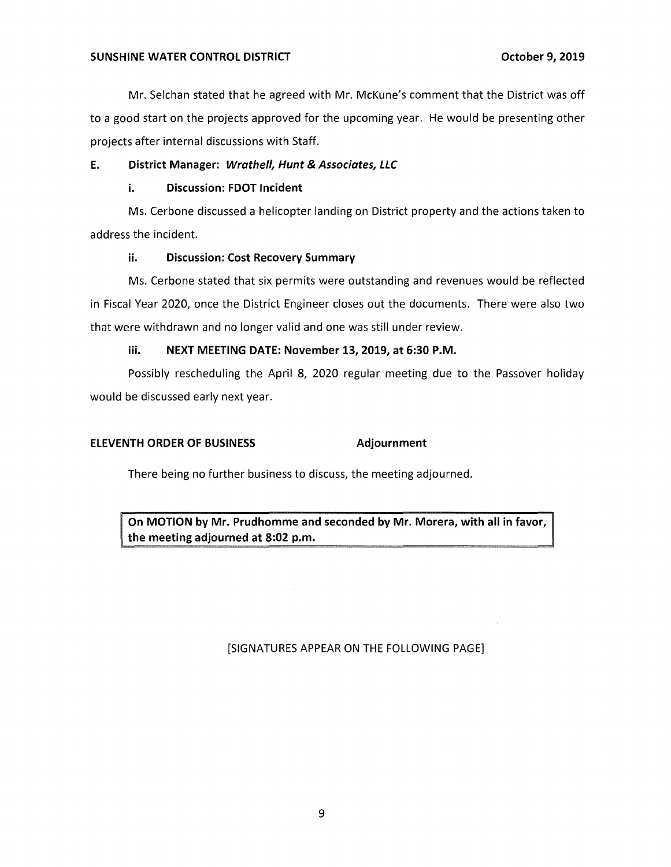Mr. Selchan stated that he agreed with Mr. McKune's comment that the District was off to a good start on the projects approved for the upcoming year. He would be presenting other projects after internal discussions with Staff.

# **E. District Manager: Wrathe/1, Hunt & Associates, LLC**

# **i. Discussion: FDOT Incident**

Ms. Cerbone discussed a helicopter landing on District property and the actions taken to address the incident.

# **ii. Discussion: Cost Recovery Summary**

Ms. Cerbone stated that six permits were outstanding and revenues would be reflected in Fiscal Year 2020, once the District Engineer closes out the documents. There were also two that were withdrawn and no longer valid and one was still under review.

# **iii. NEXT MEETING DATE: November 13, 2019, at 6:30 P.M.**

Possibly rescheduling the April 8, 2020 regular meeting due to the Passover holiday would be discussed early next year.

# **ELEVENTH ORDER OF BUSINESS Adjournment**

There being no further business to discuss, the meeting adjourned.

**On MOTION by Mr. Prudhomme and seconded by Mr. Morera, with all in favor, the meeting adjourned at 8:02 p.m.** 

# [SIGNATURES APPEAR ON THE FOLLOWING PAGE]